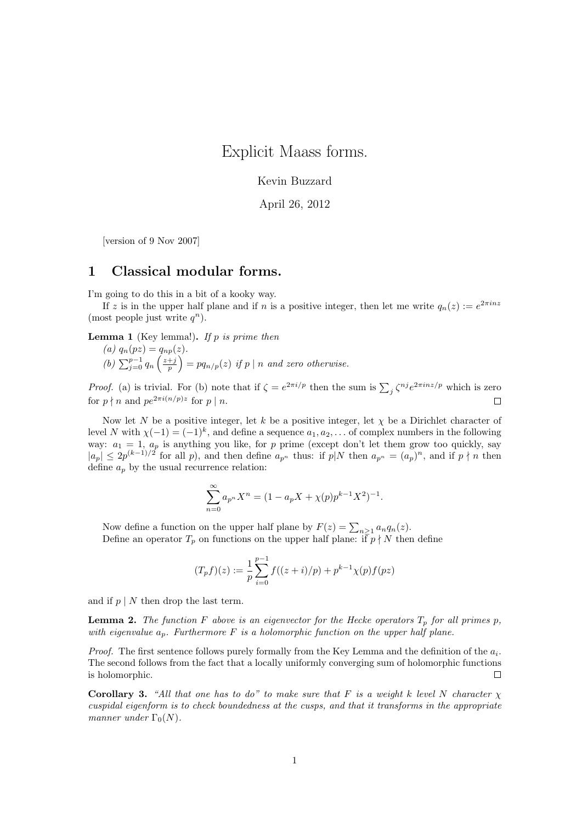Explicit Maass forms.

Kevin Buzzard

April 26, 2012

[version of 9 Nov 2007]

## 1 Classical modular forms.

I'm going to do this in a bit of a kooky way.

If z is in the upper half plane and if n is a positive integer, then let me write  $q_n(z) := e^{2\pi i n z}$ (most people just write  $q^n$ ).

**Lemma 1** (Key lemma!). If p is prime then

(a) 
$$
q_n(pz) = q_{np}(z)
$$
.  
\n(b)  $\sum_{j=0}^{p-1} q_n \left(\frac{z+j}{p}\right) = pq_{n/p}(z)$  if p | n and zero otherwise.

*Proof.* (a) is trivial. For (b) note that if  $\zeta = e^{2\pi i/p}$  then the sum is  $\sum_j \zeta^{nj} e^{2\pi i nz/p}$  which is zero for  $p \nmid n$  and  $pe^{2\pi i (n/p)z}$  for  $p \mid n$ .  $\Box$ 

Now let N be a positive integer, let k be a positive integer, let  $\chi$  be a Dirichlet character of level N with  $\chi(-1) = (-1)^k$ , and define a sequence  $a_1, a_2, \ldots$  of complex numbers in the following way:  $a_1 = 1$ ,  $a_p$  is anything you like, for p prime (except don't let them grow too quickly, say  $|a_p| \leq 2p^{(k-1)/2}$  for all p), and then define  $a_{p^n}$  thus: if  $p|N$  then  $a_{p^n} = (a_p)^n$ , and if  $p \nmid n$  then define  $a_p$  by the usual recurrence relation:

$$
\sum_{n=0}^{\infty} a_{p^n} X^n = (1 - a_p X + \chi(p) p^{k-1} X^2)^{-1}.
$$

Now define a function on the upper half plane by  $F(z) = \sum_{n \geq 1} a_n q_n(z)$ . Define an operator  $T_p$  on functions on the upper half plane: if  $p \nmid N$  then define

$$
(T_p f)(z) := \frac{1}{p} \sum_{i=0}^{p-1} f((z+i)/p) + p^{k-1} \chi(p) f(pz)
$$

and if  $p \mid N$  then drop the last term.

**Lemma 2.** The function F above is an eigenvector for the Hecke operators  $T_p$  for all primes p, with eigenvalue  $a_p$ . Furthermore F is a holomorphic function on the upper half plane.

*Proof.* The first sentence follows purely formally from the Key Lemma and the definition of the  $a_i$ . The second follows from the fact that a locally uniformly converging sum of holomorphic functions is holomorphic.  $\Box$ 

Corollary 3. "All that one has to do" to make sure that F is a weight k level N character  $\chi$ cuspidal eigenform is to check boundedness at the cusps, and that it transforms in the appropriate manner under  $\Gamma_0(N)$ .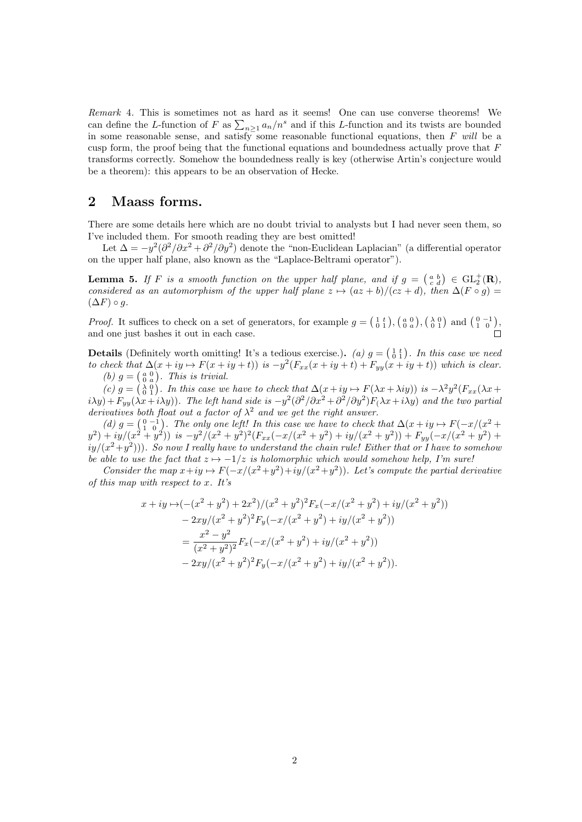Remark 4. This is sometimes not as hard as it seems! One can use converse theorems! We can define the L-function of F as  $\sum_{n\geq 1} a_n/n^s$  and if this L-function and its twists are bounded in some reasonable sense, and satisfy some reasonable functional equations, then F will be a cusp form, the proof being that the functional equations and boundedness actually prove that  $F$ transforms correctly. Somehow the boundedness really is key (otherwise Artin's conjecture would be a theorem): this appears to be an observation of Hecke.

# 2 Maass forms.

There are some details here which are no doubt trivial to analysts but I had never seen them, so I've included them. For smooth reading they are best omitted!

Let  $\Delta = -y^2(\partial^2/\partial x^2 + \partial^2/\partial y^2)$  denote the "non-Euclidean Laplacian" (a differential operator on the upper half plane, also known as the "Laplace-Beltrami operator").

**Lemma 5.** If F is a smooth function on the upper half plane, and if  $g = \begin{pmatrix} a & b \\ c & d \end{pmatrix} \in GL_2^+(\mathbf{R})$ , considered as an automorphism of the upper half plane  $z \mapsto (az + b)/(cz + d)$ , then  $\Delta(F \circ g)$  =  $(\Delta F) \circ g.$ 

*Proof.* It suffices to check on a set of generators, for example  $g = \begin{pmatrix} 1 & t \\ 0 & 1 \end{pmatrix}$ ,  $\begin{pmatrix} a & 0 \\ 0 & a \end{pmatrix}$ ,  $\begin{pmatrix} \lambda & 0 \\ 0 & 1 \end{pmatrix}$  and  $\begin{pmatrix} 0 & -1 \\ 1 & 0 \end{pmatrix}$ , and one just bashes it out in each case.

**Details** (Definitely worth omitting! It's a tedious exercise.). (a)  $g = \begin{pmatrix} 1 & t \\ 0 & 1 \end{pmatrix}$ . In this case we need to check that  $\Delta(x+iy \rightarrow F(x+iy+t))$  is  $-y^2(F_{xx}(x+iy+t)+F_{yy}(x+iy+t))$  which is clear. (b)  $g = \begin{pmatrix} a & 0 \\ 0 & a \end{pmatrix}$ . This is trivial.

(c)  $g = \begin{pmatrix} \lambda & 0 \\ 0 & 1 \end{pmatrix}$ . In this case we have to check that  $\Delta(x + iy \rightarrow F(\lambda x + \lambda iy))$  is  $-\lambda^2 y^2 (F_{xx}(\lambda x + \lambda iy))$  $i\lambda y$ ) +  $F_{yy}(\lambda x + i\lambda y)$ . The left hand side is  $-y^2(\partial^2/\partial x^2 + \partial^2/\partial y^2)F_{(\lambda x + i\lambda y)}$  and the two partial derivatives both float out a factor of  $\lambda^2$  and we get the right answer.

(d)  $g = \begin{pmatrix} 0 & -1 \\ 1 & 0 \end{pmatrix}$ . The only one left! In this case we have to check that  $\Delta(x + iy \rightarrow F(-x/(x^2 + y)))$  $y^2$ ) + iy/(x<sup>2</sup> + y<sup>2</sup>)) is  $-y^2/(x^2 + y^2)^2 (F_{xx}(-x/(x^2 + y^2) + iy/(x^2 + y^2)) + F_{yy}(-x/(x^2 + y^2) + y^2))$  $\langle i y/(x^2+y^2) \rangle$ ). So now I really have to understand the chain rule! Either that or I have to somehou be able to use the fact that  $z \mapsto -1/z$  is holomorphic which would somehow help, I'm sure!

Consider the map  $x+iy \mapsto F(-x/(x^2+y^2)+iy/(x^2+y^2))$ . Let's compute the partial derivative of this map with respect to x. It's

$$
x + iy \mapsto (-(x^2 + y^2) + 2x^2)/(x^2 + y^2)^2 F_x(-x/(x^2 + y^2) + iy/(x^2 + y^2))
$$
  
\n
$$
- 2xy/(x^2 + y^2)^2 F_y(-x/(x^2 + y^2) + iy/(x^2 + y^2))
$$
  
\n
$$
= \frac{x^2 - y^2}{(x^2 + y^2)^2} F_x(-x/(x^2 + y^2) + iy/(x^2 + y^2))
$$
  
\n
$$
- 2xy/(x^2 + y^2)^2 F_y(-x/(x^2 + y^2) + iy/(x^2 + y^2)).
$$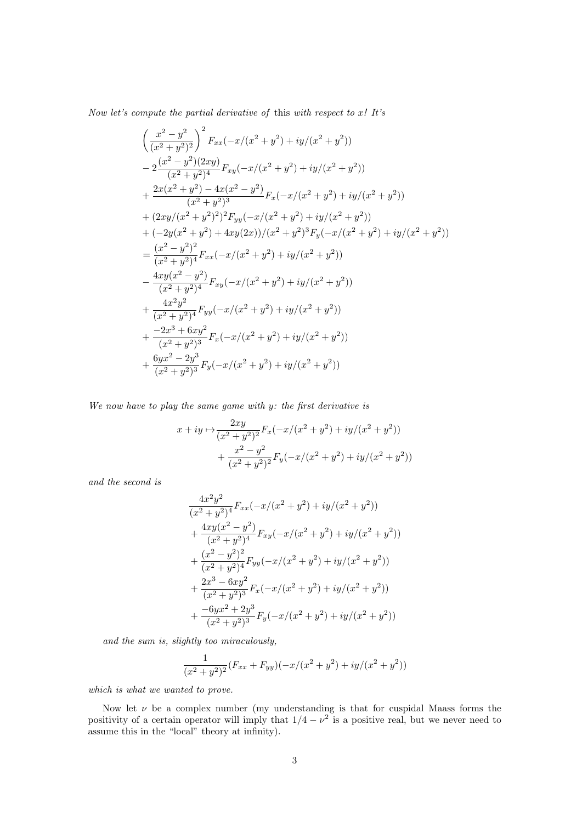Now let's compute the partial derivative of this with respect to x! It's

$$
\left(\frac{x^2-y^2}{(x^2+y^2)^2}\right)^2 F_{xx}(-x/(x^2+y^2)+iy/(x^2+y^2))
$$
  
\n
$$
-2\frac{(x^2-y^2)(2xy)}{(x^2+y^2)^4}F_{xy}(-x/(x^2+y^2)+iy/(x^2+y^2))
$$
  
\n
$$
+\frac{2x(x^2+y^2)-4x(x^2-y^2)}{(x^2+y^2)^3}F_x(-x/(x^2+y^2)+iy/(x^2+y^2))
$$
  
\n
$$
+(2xy/(x^2+y^2)^2)^2F_{yy}(-x/(x^2+y^2)+iy/(x^2+y^2))
$$
  
\n
$$
+(-2y(x^2+y^2)+4xy(2x))/(x^2+y^2)^3F_y(-x/(x^2+y^2)+iy/(x^2+y^2))
$$
  
\n
$$
=\frac{(x^2-y^2)^2}{(x^2+y^2)^4}F_{xx}(-x/(x^2+y^2)+iy/(x^2+y^2))
$$
  
\n
$$
-\frac{4xy(x^2-y^2)}{(x^2+y^2)^4}F_{xy}(-x/(x^2+y^2)+iy/(x^2+y^2))
$$
  
\n
$$
+\frac{4x^2y^2}{(x^2+y^2)^4}F_{yy}(-x/(x^2+y^2)+iy/(x^2+y^2))
$$
  
\n
$$
+\frac{-2x^3+6xy^2}{(x^2+y^2)^3}F_x(-x/(x^2+y^2)+iy/(x^2+y^2))
$$
  
\n
$$
+\frac{6yx^2-2y^3}{(x^2+y^2)^3}F_y(-x/(x^2+y^2)+iy/(x^2+y^2))
$$

We now have to play the same game with y: the first derivative is

$$
x + iy \mapsto \frac{2xy}{(x^2 + y^2)^2} F_x(-x/(x^2 + y^2) + iy/(x^2 + y^2))
$$
  
+ 
$$
\frac{x^2 - y^2}{(x^2 + y^2)^2} F_y(-x/(x^2 + y^2) + iy/(x^2 + y^2))
$$

and the second is

$$
\frac{4x^2y^2}{(x^2+y^2)^4}F_{xx}(-x/(x^2+y^2)+iy/(x^2+y^2))
$$
  
+
$$
\frac{4xy(x^2-y^2)}{(x^2+y^2)^4}F_{xy}(-x/(x^2+y^2)+iy/(x^2+y^2))
$$
  
+
$$
\frac{(x^2-y^2)^2}{(x^2+y^2)^4}F_{yy}(-x/(x^2+y^2)+iy/(x^2+y^2))
$$
  
+
$$
\frac{2x^3-6xy^2}{(x^2+y^2)^3}F_x(-x/(x^2+y^2)+iy/(x^2+y^2))
$$
  
+
$$
\frac{-6yx^2+2y^3}{(x^2+y^2)^3}F_y(-x/(x^2+y^2)+iy/(x^2+y^2))
$$

and the sum is, slightly too miraculously,

$$
\frac{1}{(x^2+y^2)^2}(F_{xx}+F_{yy})(-x/(x^2+y^2)+iy/(x^2+y^2))
$$

which is what we wanted to prove.

Now let  $\nu$  be a complex number (my understanding is that for cuspidal Maass forms the positivity of a certain operator will imply that  $1/4 - \nu^2$  is a positive real, but we never need to assume this in the "local" theory at infinity).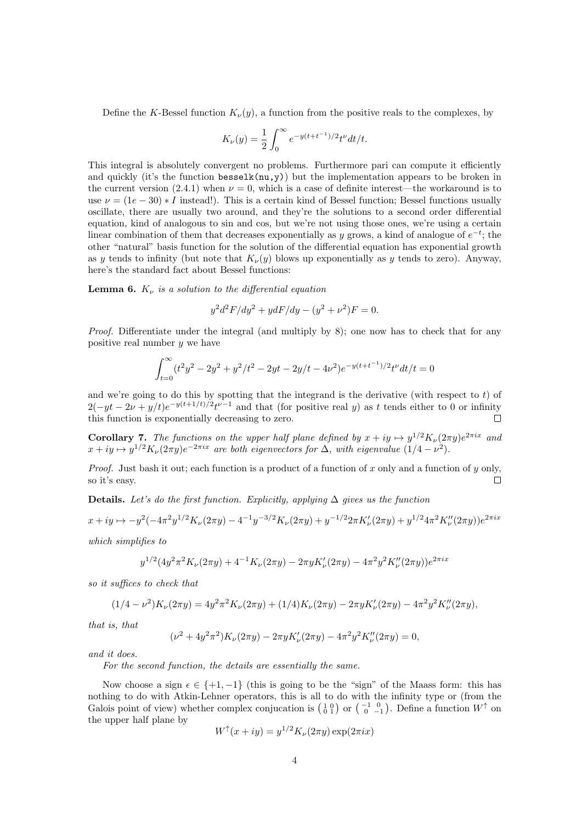Define the K-Bessel function  $K_{\nu}(y)$ , a function from the positive reals to the complexes, by

$$
K_{\nu}(y) = \frac{1}{2} \int_0^{\infty} e^{-y(t + t^{-1})/2} t^{\nu} dt/t.
$$

This integral is absolutely convergent no problems. Furthermore pari can compute it efficiently and quickly (it's the function besselk( $nu, y$ )) but the implementation appears to be broken in the current version (2.4.1) when  $\nu = 0$ , which is a case of definite interest—the workaround is to use  $\nu = (1e - 30) * I$  instead!). This is a certain kind of Bessel function; Bessel functions usually oscillate, there are usually two around, and they're the solutions to a second order differential equation, kind of analogous to sin and cos, but we're not using those ones, we're using a certain linear combination of them that decreases exponentially as y grows, a kind of analogue of  $e^{-t}$ ; the other "natural" basis function for the solution of the differential equation has exponential growth as y tends to infinity (but note that  $K_{\nu}(y)$  blows up exponentially as y tends to zero). Anyway, here's the standard fact about Bessel functions:

**Lemma 6.**  $K_{\nu}$  is a solution to the differential equation

$$
y^2 d^2 F/dy^2 + y dF/dy - (y^2 + \nu^2)F = 0.
$$

Proof. Differentiate under the integral (and multiply by 8); one now has to check that for any positive real number  $y$  we have

$$
\int_{t=0}^{\infty} (t^2 y^2 - 2y^2 + y^2/t^2 - 2yt - 2y/t - 4\nu^2)e^{-y(t+t^{-1})/2}t^{\nu}dt/t = 0
$$

and we're going to do this by spotting that the integrand is the derivative (with respect to  $t$ ) of  $2(-yt-2\nu+y/t)e^{-y(t+1/t)/2}t^{\nu-1}$  and that (for positive real y) as t tends either to 0 or infinity this function is exponentially decreasing to zero.  $\Box$ 

**Corollary 7.** The functions on the upper half plane defined by  $x + iy \mapsto y^{1/2} K_{\nu}(2\pi y) e^{2\pi ix}$  and  $x + iy \mapsto y^{1/2} K_{\nu}(2\pi y) e^{-2\pi ix}$  are both eigenvectors for  $\Delta$ , with eigenvalue  $(1/4 - \nu^2)$ .

*Proof.* Just bash it out; each function is a product of a function of x only and a function of y only, so it's easy.  $\Box$ 

Details. Let's do the first function. Explicitly, applying  $\Delta$  gives us the function

$$
x + iy \mapsto -y^2(-4\pi^2 y^{1/2} K_\nu(2\pi y) - 4^{-1} y^{-3/2} K_\nu(2\pi y) + y^{-1/2} 2\pi K_\nu'(2\pi y) + y^{1/2} 4\pi^2 K_\nu''(2\pi y))e^{2\pi ix}
$$

which simplifies to

$$
y^{1/2} (4y^2 \pi^2 K_\nu(2\pi y) + 4^{-1} K_\nu(2\pi y) - 2\pi y K_\nu'(2\pi y) - 4\pi^2 y^2 K_\nu''(2\pi y)) e^{2\pi i x}
$$

so it suffices to check that

$$
(1/4 - \nu^2)K_{\nu}(2\pi y) = 4y^2\pi^2 K_{\nu}(2\pi y) + (1/4)K_{\nu}(2\pi y) - 2\pi y K_{\nu}'(2\pi y) - 4\pi^2 y^2 K_{\nu}''(2\pi y),
$$

that is, that

$$
(\nu^2 + 4y^2 \pi^2) K_{\nu}(2\pi y) - 2\pi y K_{\nu}'(2\pi y) - 4\pi^2 y^2 K_{\nu}''(2\pi y) = 0,
$$

and it does.

For the second function, the details are essentially the same.

Now choose a sign  $\epsilon \in \{+1, -1\}$  (this is going to be the "sign" of the Maass form: this has nothing to do with Atkin-Lehner operators, this is all to do with the infinity type or (from the Galois point of view) whether complex conjucation is  $\begin{pmatrix} 1 & 0 \\ 0 & 1 \end{pmatrix}$  or  $\begin{pmatrix} -1 & 0 \\ 0 & -1 \end{pmatrix}$ . Define a function  $W^{\uparrow}$  on the upper half plane by

$$
W^{\uparrow}(x+iy) = y^{1/2} K_{\nu}(2\pi y) \exp(2\pi ix)
$$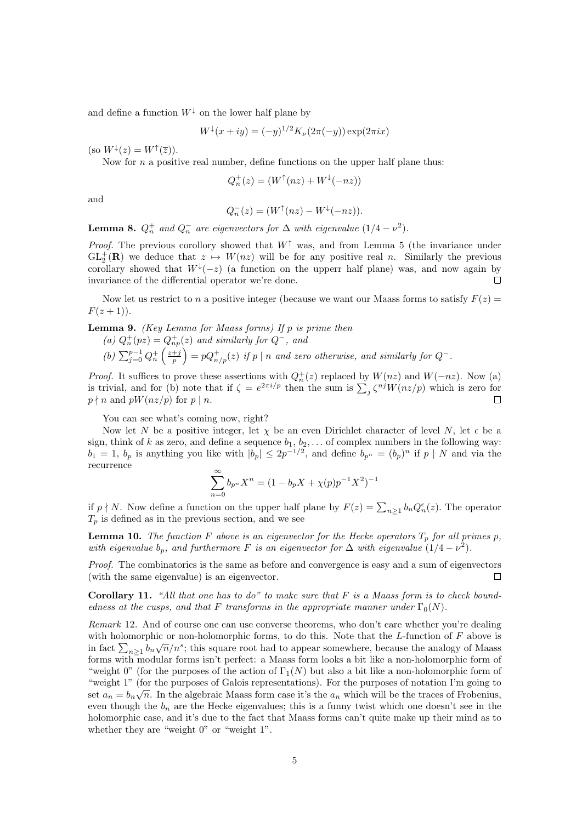and define a function  $W^{\downarrow}$  on the lower half plane by

$$
W^{\downarrow}(x+iy) = (-y)^{1/2} K_{\nu}(2\pi(-y)) \exp(2\pi ix)
$$

(so  $W^{\downarrow}(z) = W^{\uparrow}(\overline{z})$ ).

Now for  $n$  a positive real number, define functions on the upper half plane thus:

$$
Q_n^+(z) = (W^\uparrow(nz) + W^\downarrow(-nz))
$$

and

$$
Q_n^-(z) = (W^\uparrow(nz) - W^\downarrow(-nz)).
$$

**Lemma 8.**  $Q_n^+$  and  $Q_n^-$  are eigenvectors for  $\Delta$  with eigenvalue  $(1/4 - \nu^2)$ .

*Proof.* The previous corollory showed that  $W^{\uparrow}$  was, and from Lemma 5 (the invariance under  $GL_2^+(\mathbf{R})$  we deduce that  $z \mapsto W(nz)$  will be for any positive real n. Similarly the previous corollary showed that  $W^{\downarrow}(-z)$  (a function on the upperr half plane) was, and now again by invariance of the differential operator we're done.  $\Box$ 

Now let us restrict to n a positive integer (because we want our Maass forms to satisfy  $F(z) =$  $F(z + 1)$ .

**Lemma 9.** (Key Lemma for Maass forms) If  $p$  is prime then

- (a)  $Q_n^+(pz) = Q_{np}^+(z)$  and similarly for  $Q^-$ , and
- (b)  $\sum_{j=0}^{p-1} Q_n^+ \left( \frac{z+j}{p} \right) = p Q_{n/p}^+ (z)$  if p | n and zero otherwise, and similarly for  $Q^-$ .

*Proof.* It suffices to prove these assertions with  $Q_n^+(z)$  replaced by  $W(nz)$  and  $W(-nz)$ . Now (a) is trivial, and for (b) note that if  $\zeta = e^{2\pi i/p}$  then the sum is  $\sum_j \zeta^{nj} W(nz/p)$  which is zero for  $p \nmid n$  and  $pW(nz/p)$  for  $p \mid n$ .  $\Box$ 

You can see what's coming now, right?

Now let N be a positive integer, let  $\chi$  be an even Dirichlet character of level N, let  $\epsilon$  be a sign, think of k as zero, and define a sequence  $b_1, b_2, \ldots$  of complex numbers in the following way:  $b_1 = 1, b_p$  is anything you like with  $|b_p| \leq 2p^{-1/2}$ , and define  $b_{p^n} = (b_p)^n$  if  $p \mid N$  and via the recurrence

$$
\sum_{n=0}^{\infty} b_{p^n} X^n = (1 - b_p X + \chi(p) p^{-1} X^2)^{-1}
$$

if  $p \nmid N$ . Now define a function on the upper half plane by  $F(z) = \sum_{n \geq 1} b_n Q_n^{\epsilon}(z)$ . The operator  $T_p$  is defined as in the previous section, and we see

**Lemma 10.** The function F above is an eigenvector for the Hecke operators  $T_p$  for all primes p, with eigenvalue  $b_p$ , and furthermore F is an eigenvector for  $\Delta$  with eigenvalue  $(1/4 - \nu^2)$ .

Proof. The combinatorics is the same as before and convergence is easy and a sum of eigenvectors (with the same eigenvalue) is an eigenvector.  $\Box$ 

**Corollary 11.** "All that one has to do" to make sure that  $F$  is a Maass form is to check boundedness at the cusps, and that F transforms in the appropriate manner under  $\Gamma_0(N)$ .

Remark 12. And of course one can use converse theorems, who don't care whether you're dealing with holomorphic or non-holomorphic forms, to do this. Note that the L-function of F above is in fact  $\sum_{n\geq 1} b_n \sqrt{n}/n^s$ ; this square root had to appear somewhere, because the analogy of Maass forms with modular forms isn't perfect: a Maass form looks a bit like a non-holomorphic form of "weight 0" (for the purposes of the action of  $\Gamma_1(N)$ ) but also a bit like a non-holomorphic form of "weight 1" (for the purposes of Galois representations). For the purposes of notation I'm going to √ set  $a_n = b_n \sqrt{n}$ . In the algebraic Maass form case it's the  $a_n$  which will be the traces of Frobenius, even though the  $b_n$  are the Hecke eigenvalues; this is a funny twist which one doesn't see in the holomorphic case, and it's due to the fact that Maass forms can't quite make up their mind as to whether they are "weight 0" or "weight 1".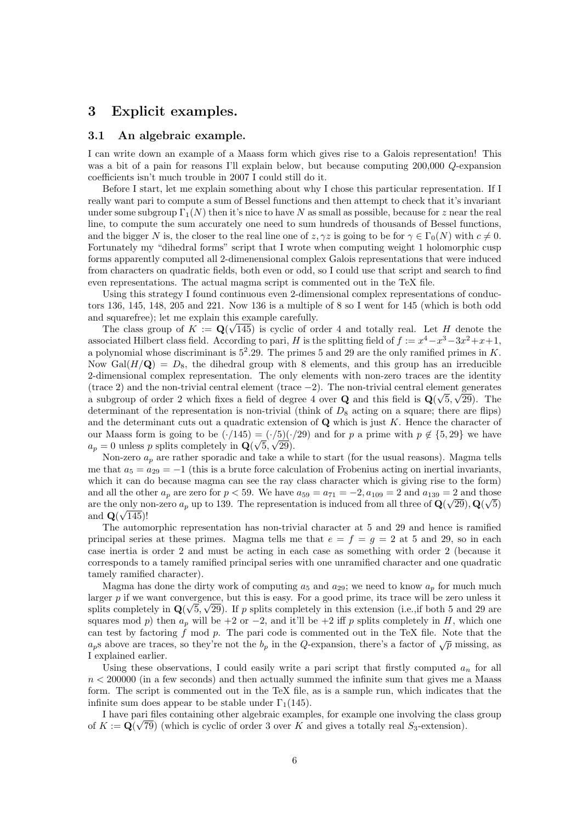### 3 Explicit examples.

#### 3.1 An algebraic example.

I can write down an example of a Maass form which gives rise to a Galois representation! This was a bit of a pain for reasons I'll explain below, but because computing 200,000 Q-expansion coefficients isn't much trouble in 2007 I could still do it.

Before I start, let me explain something about why I chose this particular representation. If I really want pari to compute a sum of Bessel functions and then attempt to check that it's invariant under some subgroup  $\Gamma_1(N)$  then it's nice to have N as small as possible, because for z near the real line, to compute the sum accurately one need to sum hundreds of thousands of Bessel functions, and the bigger N is, the closer to the real line one of  $z, \gamma z$  is going to be for  $\gamma \in \Gamma_0(N)$  with  $c \neq 0$ . Fortunately my "dihedral forms" script that I wrote when computing weight 1 holomorphic cusp forms apparently computed all 2-dimenensional complex Galois representations that were induced from characters on quadratic fields, both even or odd, so I could use that script and search to find even representations. The actual magma script is commented out in the TeX file.

Using this strategy I found continuous even 2-dimensional complex representations of conductors 136, 145, 148, 205 and 221. Now 136 is a multiple of 8 so I went for 145 (which is both odd and squarefree); let me explain this example carefully.

The class group of  $K := \mathbf{Q}(\sqrt{145})$  is cyclic of order 4 and totally real. Let H denote the associated Hilbert class field. According to pari, H is the splitting field of  $f := x^4 - x^3 - 3x^2 + x + 1$ , a polynomial whose discriminant is  $5^2.29$ . The primes 5 and 29 are the only ramified primes in K. Now Gal $(H/Q) = D_8$ , the dihedral group with 8 elements, and this group has an irreducible 2-dimensional complex representation. The only elements with non-zero traces are the identity (trace 2) and the non-trivial central element (trace  $-2$ ). The non-trivial central element generates a subgroup of order 2 which fixes a field of degree 4 over **Q** and this field is  $\mathbf{Q}(\sqrt{5}, \sqrt{29})$ . The determinant of the representation is non-trivial (think of  $D_8$  acting on a square; there are flips) and the determinant cuts out a quadratic extension of  $\mathbf Q$  which is just K. Hence the character of our Maass form is going to be  $(\cdot/145) = (\cdot/5)(\cdot/29)$  and for p a prime with  $p \notin \{5, 29\}$  we have  $a_p = 0$  unless p splits completely in  $\mathbf{Q}(\sqrt{5}, \sqrt{29})$ .

Non-zero  $a_p$  are rather sporadic and take a while to start (for the usual reasons). Magma tells me that  $a_5 = a_{29} = -1$  (this is a brute force calculation of Frobenius acting on inertial invariants, which it can do because magma can see the ray class character which is giving rise to the form) and all the other  $a_p$  are zero for  $p < 59$ . We have  $a_{59} = a_{71} = -2$ ,  $a_{109} = 2$  and  $a_{139} = 2$  and those are the only non-zero  $a_p$  up to 139. The representation is induced from all three of  $\mathbf{Q}(\sqrt{29})$ ,  $\mathbf{Q}(\sqrt{5})$ and  $\mathbf{Q}(\sqrt{145})!$ 

The automorphic representation has non-trivial character at 5 and 29 and hence is ramified principal series at these primes. Magma tells me that  $e = f = g = 2$  at 5 and 29, so in each case inertia is order 2 and must be acting in each case as something with order 2 (because it corresponds to a tamely ramified principal series with one unramified character and one quadratic tamely ramified character).

Magma has done the dirty work of computing  $a_5$  and  $a_{29}$ ; we need to know  $a_p$  for much much larger p if we want convergence, but this is easy. For a good prime, its trace will be zero unless it splits completely in  $\mathbf{Q}(\sqrt{5}, \sqrt{29})$ . If p splits completely in this extension (i.e.,if both 5 and 29 are squares mod p) then  $a_p$  will be +2 or -2, and it'll be +2 iff p splits completely in H, which one can test by factoring  $f$  mod  $p$ . The pari code is commented out in the TeX file. Note that the  $a_p$ s above are traces, so they're not the  $b_p$  in the Q-expansion, there's a factor of  $\sqrt{p}$  missing, as I explained earlier.

Using these observations, I could easily write a pari script that firstly computed  $a_n$  for all  $n < 200000$  (in a few seconds) and then actually summed the infinite sum that gives me a Maass form. The script is commented out in the TeX file, as is a sample run, which indicates that the infinite sum does appear to be stable under  $\Gamma_1(145)$ .

I have pari files containing other algebraic examples, for example one involving the class group of  $K := \mathbf{Q}(\sqrt{79})$  (which is cyclic of order 3 over K and gives a totally real  $S_3$ -extension).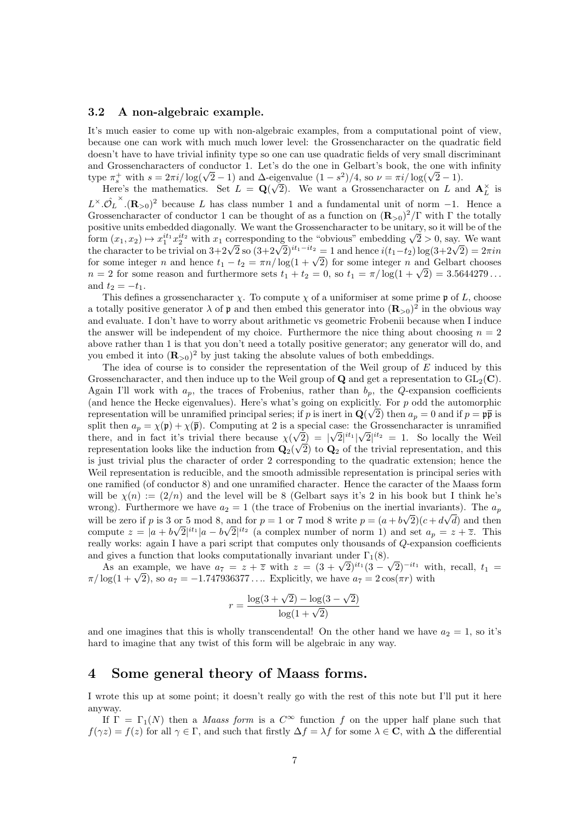#### 3.2 A non-algebraic example.

It's much easier to come up with non-algebraic examples, from a computational point of view, because one can work with much much lower level: the Grossencharacter on the quadratic field doesn't have to have trivial infinity type so one can use quadratic fields of very small discriminant and Grossencharacters of conductor 1. Let's do the one in Gelbart's book, the one with infinity and Grossen characters of conductor 1. Let's do the one in Gelbart's book, the one with<br>type  $\pi_s^+$  with  $s = 2\pi i / \log(\sqrt{2}-1)$  and  $\Delta$ -eigenvalue  $(1 - s^2)/4$ , so  $\nu = \pi i / \log(\sqrt{2}-1)$ .

Here's the mathematics. Set  $L = Q$ eigenvalue  $(1 - s^2)/4$ , so  $\nu = \pi i / \log(\sqrt{2} - 1)$ .<br> $\sqrt{2}$ ). We want a Grossencharacter on L and  $\mathbf{A}_{L}^{\times}$  is  $L^{\times} \cdot \hat{\mathcal{O}}_L^{\times} \cdot (\mathbf{R}_{>0})^2$  because L has class number 1 and a fundamental unit of norm -1. Hence a Grossencharacter of conductor 1 can be thought of as a function on  $(\mathbf{R}_{>0})^2/\Gamma$  with  $\Gamma$  the totally positive units embedded diagonally. We want the Grossencharacter to be unitary, so it will be of the positive units embedded diagonally. We want the Grossencharacter to be unitary, so it will be of the form  $(x_1, x_2) \mapsto x_1^{i_1} x_2^{i_2}$  with  $x_1$  corresponding to the "obvious" embedding  $\sqrt{2} > 0$ , say. We want form  $(x_1, x_2) \mapsto x_1 \cdot x_2$  with  $x_1$  corresponding to the "obvious" embedding  $\sqrt{2} > 0$ , say. We want the character to be trivial on  $3+2\sqrt{2}$  so  $(3+2\sqrt{2})^{it_1-it_2} = 1$  and hence  $i(t_1-t_2) \log(3+2\sqrt{2}) = 2\pi i n$ the character to be trivial on  $3+2\sqrt{2}$  so  $(3+2\sqrt{2})^{n_1-n_2} = 1$  and nence  $i(i_1-i_2)$  log $(3+2\sqrt{2}) = 2\pi i n$ <br>for some integer n and hence  $t_1 - t_2 = \pi n / \log(1 + \sqrt{2})$  for some integer n and Gelbart chooses for some integer *n* and hence  $t_1 - t_2 = \pi n / \log(1 + \sqrt{2})$  for some integer *n* and Gelbart chooses  $n = 2$  for some reason and furthermore sets  $t_1 + t_2 = 0$ , so  $t_1 = \pi / \log(1 + \sqrt{2}) = 3.5644279...$ and  $t_2 = -t_1$ .

This defines a grossencharacter  $\chi$ . To compute  $\chi$  of a uniformiser at some prime p of L, choose a totally positive generator  $\lambda$  of  $\mathfrak p$  and then embed this generator into  $(\mathbf{R}_{>0})^2$  in the obvious way and evaluate. I don't have to worry about arithmetic vs geometric Frobenii because when I induce the answer will be independent of my choice. Furthermore the nice thing about choosing  $n = 2$ above rather than 1 is that you don't need a totally positive generator; any generator will do, and you embed it into  $(\mathbf{R}_{>0})^2$  by just taking the absolute values of both embeddings.

The idea of course is to consider the representation of the Weil group of E induced by this Grossencharacter, and then induce up to the Weil group of **Q** and get a representation to  $GL_2(\mathbb{C})$ . Again I'll work with  $a_p$ , the traces of Frobenius, rather than  $b_p$ , the Q-expansion coefficients (and hence the Hecke eigenvalues). Here's what's going on explicitly. For p odd the automorphic representation will be unramified principal series; if p is inert in  $\mathbf{Q}(\sqrt{2})$  then  $a_p = 0$  and if  $p = \mathfrak{p}\bar{\mathfrak{p}}$  is split then  $a_p = \chi(\mathfrak{p}) + \chi(\overline{\mathfrak{p}})$ . Computing at 2 is a special case: the Grossencharacter is unramified there, and in fact it's trivial there because  $\chi(\sqrt{2}) = |\sqrt{2}|^{it_1} |\sqrt{2}|^{it_2} = 1$ . So locally the Weil representation looks like the induction from  $\mathbf{Q}_2($ √ 2) to  $\mathbf{Q}_2$  of the trivial representation, and this is just trivial plus the character of order 2 corresponding to the quadratic extension; hence the Weil representation is reducible, and the smooth admissible representation is principal series with one ramified (of conductor 8) and one unramified character. Hence the caracter of the Maass form will be  $\chi(n) := (2/n)$  and the level will be 8 (Gelbart says it's 2 in his book but I think he's wrong). Furthermore we have  $a_2 = 1$  (the trace of Frobenius on the inertial invariants). The  $a_p$ will be zero if p is 3 or 5 mod 8, and for  $p = 1$  or 7 mod 8 write  $p = (a + b)$ ∂uنا  $(2)(c+d)$ √ d) and then compute  $z = |a + b|$  $\frac{O}{\sqrt{2}}$  $\overline{2}|^{it_1}|a-b$ √  $\overline{2}|^{it_2}$  (a complex number of norm 1) and set  $a_p = z + \overline{z}$ . This really works: again I have a pari script that computes only thousands of Q-expansion coefficients and gives a function that looks computationally invariant under  $\Gamma_1(8)$ .

gives a function that looks computationally invariant under  $1_1(8)$ .<br>As an example, we have  $a_7 = z + \overline{z}$  with  $z = (3 + \sqrt{2})^{it_1}(3 - \sqrt{2})^{-it_1}$  with, recall,  $t_1 =$ As an example, we have  $a_7 = z + z$  with  $z = (3 + \sqrt{2})^{\alpha_1} (3 - \sqrt{2})^{\alpha_2}$  with  $\pi / \log(1 + \sqrt{2})$ , so  $a_7 = -1.747936377...$  Explicitly, we have  $a_7 = 2 \cos(\pi r)$  with

$$
r = \frac{\log(3 + \sqrt{2}) - \log(3 - \sqrt{2})}{\log(1 + \sqrt{2})}
$$

and one imagines that this is wholly transcendental! On the other hand we have  $a_2 = 1$ , so it's hard to imagine that any twist of this form will be algebraic in any way.

### 4 Some general theory of Maass forms.

I wrote this up at some point; it doesn't really go with the rest of this note but I'll put it here anyway.

If  $\Gamma = \Gamma_1(N)$  then a *Maass form* is a  $C^{\infty}$  function f on the upper half plane such that  $f(\gamma z) = f(z)$  for all  $\gamma \in \Gamma$ , and such that firstly  $\Delta f = \lambda f$  for some  $\lambda \in \mathbb{C}$ , with  $\Delta$  the differential